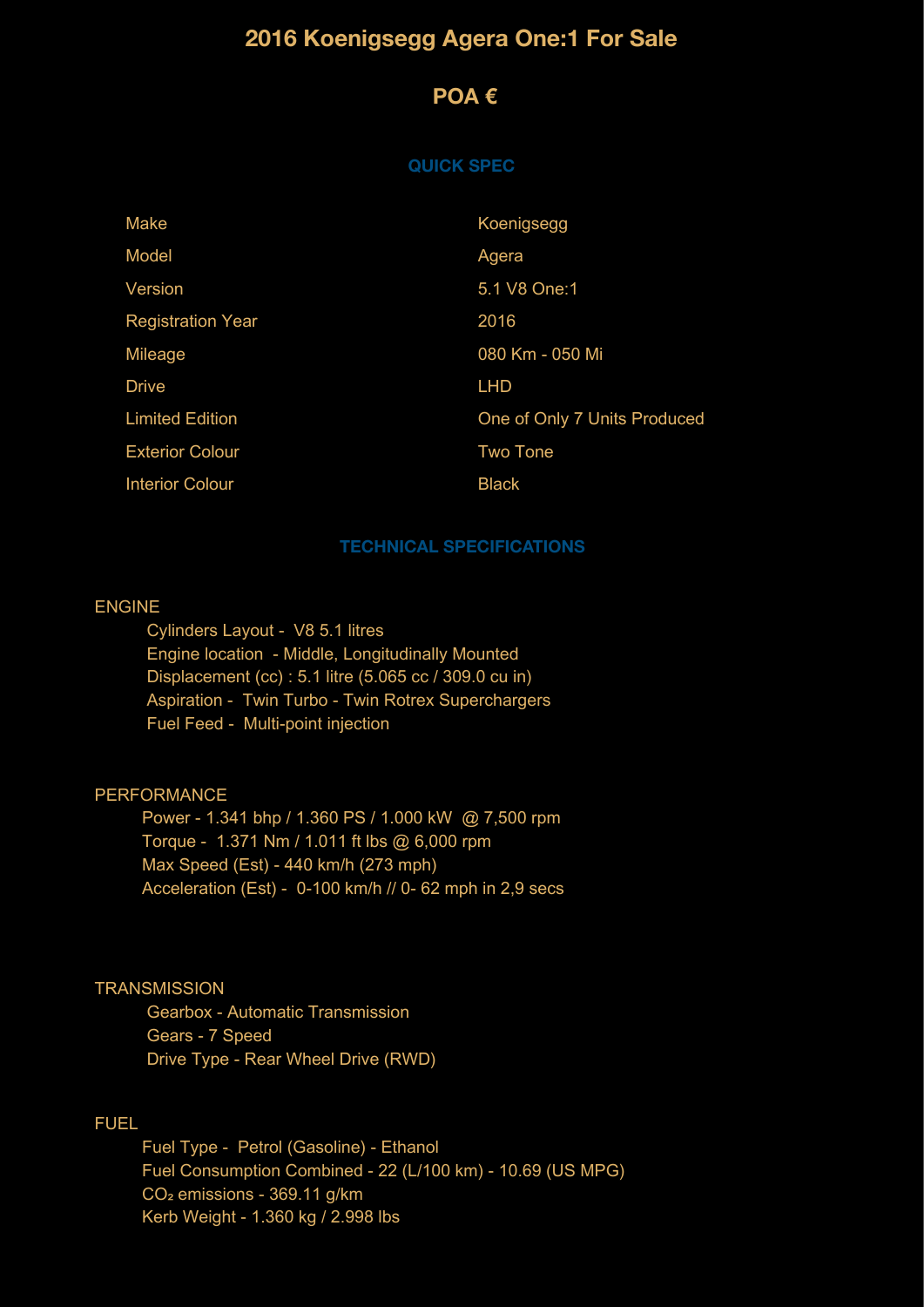# **2016 Koenigsegg Agera One:1 For Sale**

## **POA €**

#### **QUICK SPEC**

| Make                     | Koenigsegg                   |
|--------------------------|------------------------------|
| Model                    | Agera                        |
| Version                  | 5.1 V8 One:1                 |
| <b>Registration Year</b> | 2016                         |
| Mileage                  | 080 Km - 050 Mi              |
| <b>Drive</b>             | <b>LHD</b>                   |
| <b>Limited Edition</b>   | One of Only 7 Units Produced |
| <b>Exterior Colour</b>   | <b>Two Tone</b>              |
| <b>Interior Colour</b>   | <b>Black</b>                 |

#### **TECHNICAL SPECIFICATIONS**

### ENGINE

 Cylinders Layout - V8 5.1 litres Engine location - Middle, Longitudinally Mounted Displacement (cc) : 5.1 litre (5.065 cc / 309.0 cu in) Aspiration - Twin Turbo - Twin Rotrex Superchargers Fuel Feed - Multi-point injection

## PERFORMANCE

 Power - 1.341 bhp / 1.360 PS / 1.000 kW @ 7,500 rpm Torque - 1.371 Nm / 1.011 ft lbs @ 6,000 rpm Max Speed (Est) - 440 km/h (273 mph) Acceleration (Est) - 0-100 km/h // 0- 62 mph in 2,9 secs

#### **TRANSMISSION**

 Gearbox - Automatic Transmission Gears - 7 Speed Drive Type - Rear Wheel Drive (RWD)

## FUEL

 Fuel Type - Petrol (Gasoline) - Ethanol Fuel Consumption Combined - 22 (L/100 km) - 10.69 (US MPG) CO<sub>2</sub> emissions - 369.11 g/km Kerb Weight - 1.360 kg / 2.998 lbs